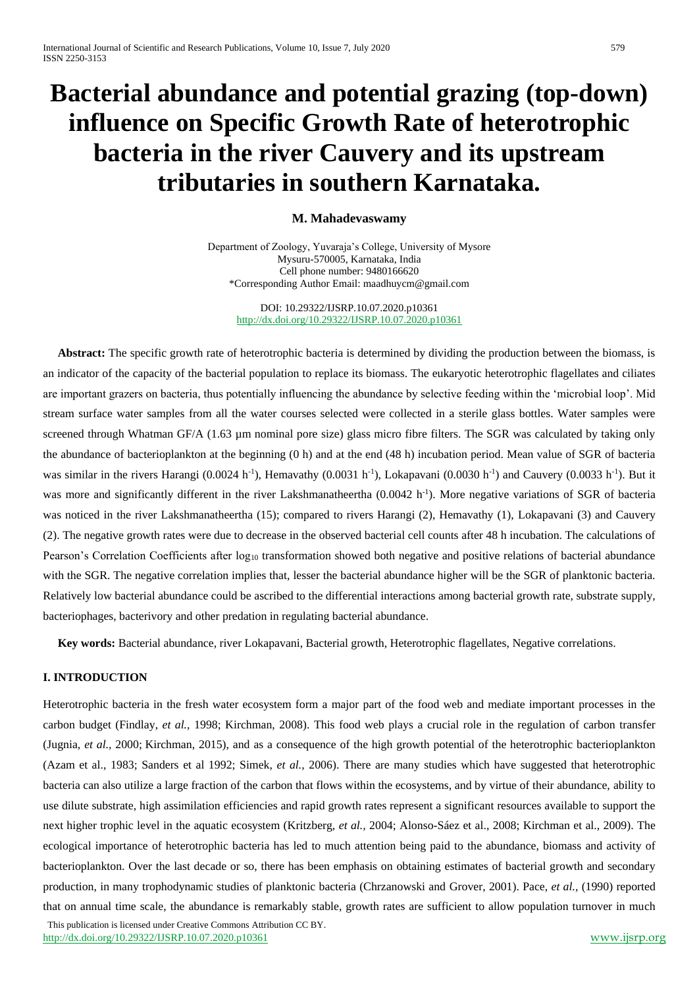# **Bacterial abundance and potential grazing (top-down) influence on Specific Growth Rate of heterotrophic bacteria in the river Cauvery and its upstream tributaries in southern Karnataka.**

# **M. Mahadevaswamy**

Department of Zoology, Yuvaraja's College, University of Mysore Mysuru-570005, Karnataka, India Cell phone number: 9480166620 \*Corresponding Author Email[: maadhuycm@gmail.com](mailto:maadhuycm@gmail.com)

#### DOI: 10.29322/IJSRP.10.07.2020.p10361 <http://dx.doi.org/10.29322/IJSRP.10.07.2020.p10361>

 **Abstract:** The specific growth rate of heterotrophic bacteria is determined by dividing the production between the biomass, is an indicator of the capacity of the bacterial population to replace its biomass. The eukaryotic heterotrophic flagellates and ciliates are important grazers on bacteria, thus potentially influencing the abundance by selective feeding within the 'microbial loop'. Mid stream surface water samples from all the water courses selected were collected in a sterile glass bottles. Water samples were screened through Whatman GF/A (1.63 µm nominal pore size) glass micro fibre filters. The SGR was calculated by taking only the abundance of bacterioplankton at the beginning (0 h) and at the end (48 h) incubation period. Mean value of SGR of bacteria was similar in the rivers Harangi  $(0.0024 \text{ h}^{-1})$ , Hemavathy  $(0.0031 \text{ h}^{-1})$ , Lokapavani  $(0.0030 \text{ h}^{-1})$  and Cauvery  $(0.0033 \text{ h}^{-1})$ . But it was more and significantly different in the river Lakshmanatheertha (0.0042 h<sup>-1</sup>). More negative variations of SGR of bacteria was noticed in the river Lakshmanatheertha (15); compared to rivers Harangi (2), Hemavathy (1), Lokapavani (3) and Cauvery (2). The negative growth rates were due to decrease in the observed bacterial cell counts after 48 h incubation. The calculations of Pearson's Correlation Coefficients after  $log_{10}$  transformation showed both negative and positive relations of bacterial abundance with the SGR. The negative correlation implies that, lesser the bacterial abundance higher will be the SGR of planktonic bacteria. Relatively low bacterial abundance could be ascribed to the differential interactions among bacterial growth rate, substrate supply, bacteriophages, bacterivory and other predation in regulating bacterial abundance.

 **Key words:** Bacterial abundance, river Lokapavani, Bacterial growth, Heterotrophic flagellates, Negative correlations.

## **I. INTRODUCTION**

Heterotrophic bacteria in the fresh water ecosystem form a major part of the food web and mediate important processes in the carbon budget (Findlay, *et al.,* 1998; [Kirchman, 2008\)](https://www.frontiersin.org/articles/10.3389/fmicb.2018.03244/full#B50). This food web plays a crucial role in the regulation of carbon transfer (Jugnia, *et al.,* 2000; [Kirchman, 2015\)](https://www.frontiersin.org/articles/10.3389/fmicb.2018.03244/full#B51), and as a consequence of the high growth potential of the heterotrophic bacterioplankton (Azam et al., 1983; Sanders et al 1992; Simek, *et al.,* 2006). There are many studies which have suggested that heterotrophic bacteria can also utilize a large fraction of the carbon that flows within the ecosystems, and by virtue of their abundance, ability to use dilute substrate, high assimilation efficiencies and rapid growth rates represent a significant resources available to support the next higher trophic level in the aquatic ecosystem (Kritzberg, *et al.,* 2004; [Alonso-Sáez et al., 2008;](https://www.frontiersin.org/articles/10.3389/fmicb.2018.03244/full#B2) [Kirchman et al., 2009\)](https://www.frontiersin.org/articles/10.3389/fmicb.2018.03244/full#B52). The ecological importance of heterotrophic bacteria has led to much attention being paid to the abundance, biomass and activity of bacterioplankton. Over the last decade or so, there has been emphasis on obtaining estimates of bacterial growth and secondary production, in many trophodynamic studies of planktonic bacteria (Chrzanowski and Grover, 2001). Pace, *et al.,* (1990) reported that on annual time scale, the abundance is remarkably stable, growth rates are sufficient to allow population turnover in much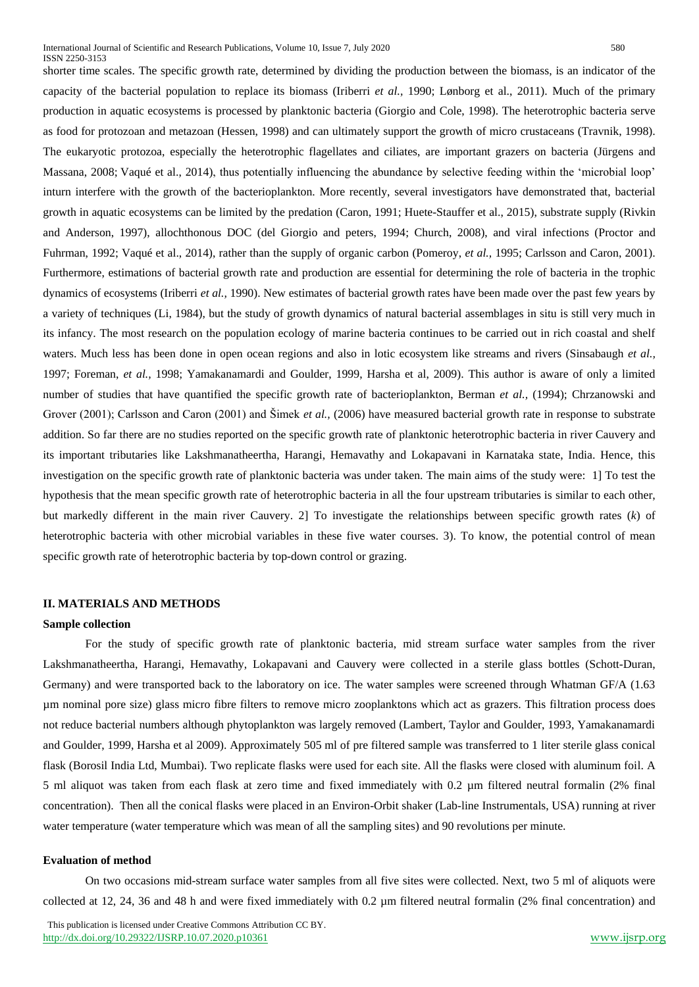shorter time scales. The specific growth rate, determined by dividing the production between the biomass, is an indicator of the capacity of the bacterial population to replace its biomass (Iriberri *et al.,* 1990; [Lønborg et al., 2011\)](https://www.frontiersin.org/articles/10.3389/fmicb.2018.03244/full#B55). Much of the primary production in aquatic ecosystems is processed by planktonic bacteria (Giorgio and Cole, 1998). The heterotrophic bacteria serve as food for protozoan and metazoan (Hessen, 1998) and can ultimately support the growth of micro crustaceans (Travnik, 1998). The eukaryotic protozoa, especially the heterotrophic flagellates and ciliates, are important grazers on bacteria [\(Jürgens and](https://www.frontiersin.org/articles/10.3389/fmicb.2018.03244/full#B46)  [Massana, 2008;](https://www.frontiersin.org/articles/10.3389/fmicb.2018.03244/full#B46) [Vaqué et al., 2014\)](https://www.frontiersin.org/articles/10.3389/fmicb.2018.03244/full#B88), thus potentially influencing the abundance by selective feeding within the 'microbial loop' inturn interfere with the growth of the bacterioplankton. More recently, several investigators have demonstrated that, bacterial growth in aquatic ecosystems can be limited by the predation (Caron, 1991; [Huete-Stauffer et al., 2015\)](https://www.frontiersin.org/articles/10.3389/fmicb.2018.03244/full#B44), substrate supply (Rivkin and Anderson, 1997), allochthonous DOC (del Giorgio and peters, 1994; [Church, 2008\)](https://www.frontiersin.org/articles/10.3389/fmicb.2018.03244/full#B18), and viral infections (Proctor and Fuhrman, 1992; [Vaqué et al., 2014\)](https://www.frontiersin.org/articles/10.3389/fmicb.2018.03244/full#B88), rather than the supply of organic carbon (Pomeroy, *et al.,* 1995; Carlsson and Caron, 2001). Furthermore, estimations of bacterial growth rate and production are essential for determining the role of bacteria in the trophic dynamics of ecosystems (Iriberri *et al.,* 1990). New estimates of bacterial growth rates have been made over the past few years by a variety of techniques (Li, 1984), but the study of growth dynamics of natural bacterial assemblages in situ is still very much in its infancy. The most research on the population ecology of marine bacteria continues to be carried out in rich coastal and shelf waters. Much less has been done in open ocean regions and also in lotic ecosystem like streams and rivers (Sinsabaugh *et al.,* 1997; Foreman, *et al.,* 1998; Yamakanamardi and Goulder, 1999, Harsha et al, 2009). This author is aware of only a limited number of studies that have quantified the specific growth rate of bacterioplankton, Berman *et al.,* (1994); Chrzanowski and Grover (2001); Carlsson and Caron (2001) and Šimek *et al.,* (2006) have measured bacterial growth rate in response to substrate addition. So far there are no studies reported on the specific growth rate of planktonic heterotrophic bacteria in river Cauvery and its important tributaries like Lakshmanatheertha, Harangi, Hemavathy and Lokapavani in Karnataka state, India. Hence, this investigation on the specific growth rate of planktonic bacteria was under taken. The main aims of the study were: 1] To test the hypothesis that the mean specific growth rate of heterotrophic bacteria in all the four upstream tributaries is similar to each other, but markedly different in the main river Cauvery. 2] To investigate the relationships between specific growth rates (*k*) of heterotrophic bacteria with other microbial variables in these five water courses. 3). To know, the potential control of mean specific growth rate of heterotrophic bacteria by top-down control or grazing.

### **II. MATERIALS AND METHODS**

#### **Sample collection**

For the study of specific growth rate of planktonic bacteria, mid stream surface water samples from the river Lakshmanatheertha, Harangi, Hemavathy, Lokapavani and Cauvery were collected in a sterile glass bottles (Schott-Duran, Germany) and were transported back to the laboratory on ice. The water samples were screened through Whatman GF/A (1.63 µm nominal pore size) glass micro fibre filters to remove micro zooplanktons which act as grazers. This filtration process does not reduce bacterial numbers although phytoplankton was largely removed (Lambert, Taylor and Goulder, 1993, Yamakanamardi and Goulder, 1999, Harsha et al 2009). Approximately 505 ml of pre filtered sample was transferred to 1 liter sterile glass conical flask (Borosil India Ltd, Mumbai). Two replicate flasks were used for each site. All the flasks were closed with aluminum foil. A 5 ml aliquot was taken from each flask at zero time and fixed immediately with 0.2 µm filtered neutral formalin (2% final concentration). Then all the conical flasks were placed in an Environ-Orbit shaker (Lab-line Instrumentals, USA) running at river water temperature (water temperature which was mean of all the sampling sites) and 90 revolutions per minute.

#### **Evaluation of method**

On two occasions mid-stream surface water samples from all five sites were collected. Next, two 5 ml of aliquots were collected at 12, 24, 36 and 48 h and were fixed immediately with 0.2 µm filtered neutral formalin (2% final concentration) and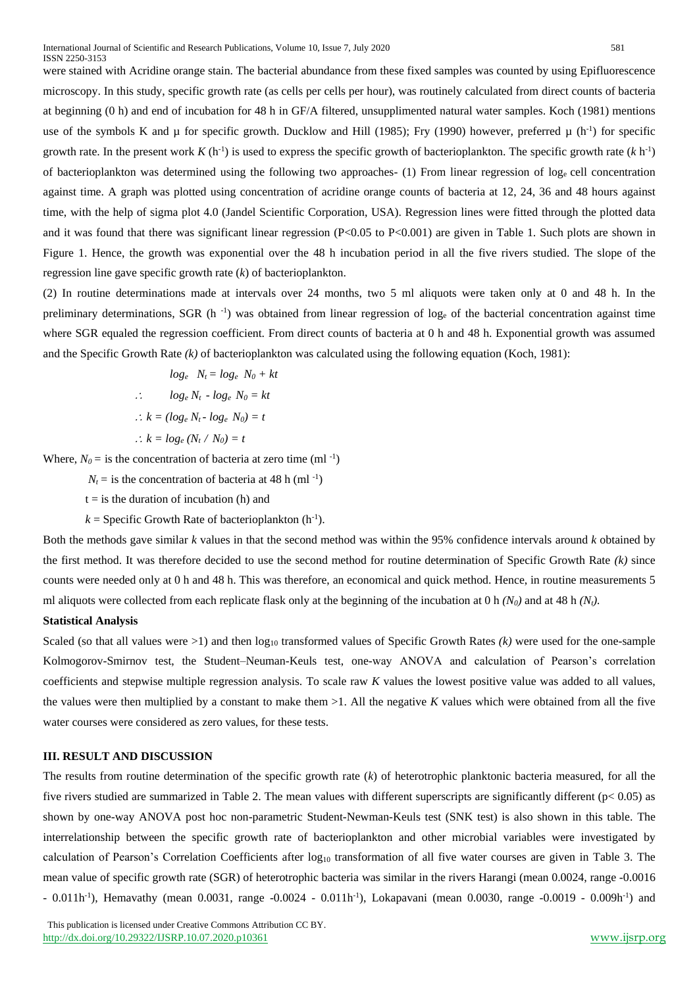were stained with Acridine orange stain. The bacterial abundance from these fixed samples was counted by using Epifluorescence microscopy. In this study, specific growth rate (as cells per cells per hour), was routinely calculated from direct counts of bacteria at beginning (0 h) and end of incubation for 48 h in GF/A filtered, unsupplimented natural water samples. Koch (1981) mentions use of the symbols K and  $\mu$  for specific growth. Ducklow and Hill (1985); Fry (1990) however, preferred  $\mu$  (h<sup>-1</sup>) for specific growth rate. In the present work  $K(h^{-1})$  is used to express the specific growth of bacterioplankton. The specific growth rate  $(k h^{-1})$ of bacterioplankton was determined using the following two approaches- (1) From linear regression of log<sub>e</sub> cell concentration against time. A graph was plotted using concentration of acridine orange counts of bacteria at 12, 24, 36 and 48 hours against time, with the help of sigma plot 4.0 (Jandel Scientific Corporation, USA). Regression lines were fitted through the plotted data and it was found that there was significant linear regression (P<0.05 to P<0.001) are given in Table 1. Such plots are shown in Figure 1. Hence, the growth was exponential over the 48 h incubation period in all the five rivers studied. The slope of the regression line gave specific growth rate (*k*) of bacterioplankton.

(2) In routine determinations made at intervals over 24 months, two 5 ml aliquots were taken only at 0 and 48 h. In the preliminary determinations, SGR (h<sup>-1</sup>) was obtained from linear regression of log<sub>e</sub> of the bacterial concentration against time where SGR equaled the regression coefficient. From direct counts of bacteria at 0 h and 48 h. Exponential growth was assumed and the Specific Growth Rate *(k)* of bacterioplankton was calculated using the following equation (Koch, 1981):

$$
log_e \quad N_t = log_e \quad N_0 + kt
$$
  
\n
$$
\therefore \quad log_e \quad N_t - log_e \quad N_0 = kt
$$
  
\n
$$
\therefore k = (log_e \quad N_t - log_e \quad N_0) = t
$$
  
\n
$$
\therefore k = log_e \quad (N_t / N_0) = t
$$

Where,  $N_0 =$  is the concentration of bacteria at zero time (ml<sup>-1</sup>)

 $N_t$  = is the concentration of bacteria at 48 h (ml<sup>-1</sup>)

 $t =$  is the duration of incubation (h) and

 $k =$  Specific Growth Rate of bacterioplankton  $(h^{-1})$ .

Both the methods gave similar *k* values in that the second method was within the 95% confidence intervals around *k* obtained by the first method. It was therefore decided to use the second method for routine determination of Specific Growth Rate *(k)* since counts were needed only at 0 h and 48 h. This was therefore, an economical and quick method. Hence, in routine measurements 5 ml aliquots were collected from each replicate flask only at the beginning of the incubation at 0 h *(N0)* and at 48 h *(Nt).*

#### **Statistical Analysis**

Scaled (so that all values were  $>1$ ) and then  $log_{10}$  transformed values of Specific Growth Rates  $(k)$  were used for the one-sample Kolmogorov-Smirnov test, the Student–Neuman-Keuls test, one-way ANOVA and calculation of Pearson's correlation coefficients and stepwise multiple regression analysis. To scale raw *K* values the lowest positive value was added to all values, the values were then multiplied by a constant to make them >1. All the negative *K* values which were obtained from all the five water courses were considered as zero values, for these tests.

#### **III. RESULT AND DISCUSSION**

The results from routine determination of the specific growth rate (*k*) of heterotrophic planktonic bacteria measured, for all the five rivers studied are summarized in Table 2. The mean values with different superscripts are significantly different (p< 0.05) as shown by one-way ANOVA post hoc non-parametric Student-Newman-Keuls test (SNK test) is also shown in this table. The interrelationship between the specific growth rate of bacterioplankton and other microbial variables were investigated by calculation of Pearson's Correlation Coefficients after  $log_{10}$  transformation of all five water courses are given in Table 3. The mean value of specific growth rate (SGR) of heterotrophic bacteria was similar in the rivers Harangi (mean 0.0024, range -0.0016 - 0.011h<sup>-1</sup>), Hemavathy (mean 0.0031, range -0.0024 - 0.011h<sup>-1</sup>), Lokapavani (mean 0.0030, range -0.0019 - 0.009h<sup>-1</sup>) and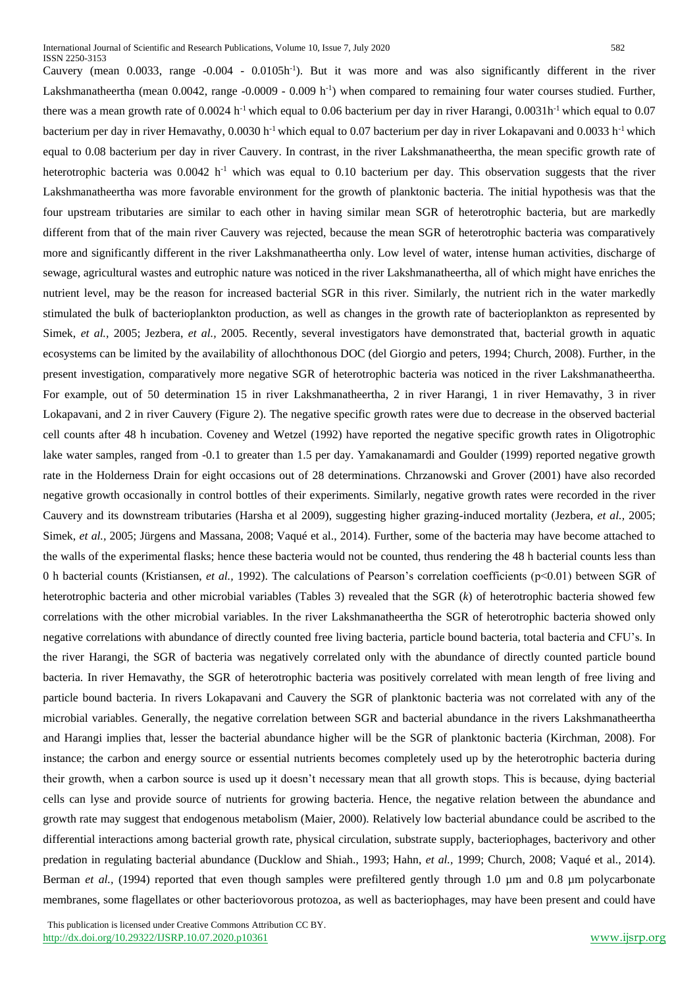Cauvery (mean 0.0033, range -0.004 - 0.0105h<sup>-1</sup>). But it was more and was also significantly different in the river Lakshmanatheertha (mean 0.0042, range -0.0009 - 0.009 h<sup>-1</sup>) when compared to remaining four water courses studied. Further, there was a mean growth rate of 0.0024 h<sup>-1</sup> which equal to 0.06 bacterium per day in river Harangi, 0.0031h<sup>-1</sup> which equal to 0.07 bacterium per day in river Hemavathy, 0.0030 h<sup>-1</sup> which equal to 0.07 bacterium per day in river Lokapavani and 0.0033 h<sup>-1</sup> which equal to 0.08 bacterium per day in river Cauvery. In contrast, in the river Lakshmanatheertha, the mean specific growth rate of heterotrophic bacteria was  $0.0042$  h<sup>-1</sup> which was equal to 0.10 bacterium per day. This observation suggests that the river Lakshmanatheertha was more favorable environment for the growth of planktonic bacteria. The initial hypothesis was that the four upstream tributaries are similar to each other in having similar mean SGR of heterotrophic bacteria, but are markedly different from that of the main river Cauvery was rejected, because the mean SGR of heterotrophic bacteria was comparatively more and significantly different in the river Lakshmanatheertha only. Low level of water, intense human activities, discharge of sewage, agricultural wastes and eutrophic nature was noticed in the river Lakshmanatheertha, all of which might have enriches the nutrient level, may be the reason for increased bacterial SGR in this river. Similarly, the nutrient rich in the water markedly stimulated the bulk of bacterioplankton production, as well as changes in the growth rate of bacterioplankton as represented by Simek, *et al.,* 2005; Jezbera, *et al.,* 2005. Recently, several investigators have demonstrated that, bacterial growth in aquatic ecosystems can be limited by the availability of allochthonous DOC (del Giorgio and peters, 1994; [Church, 2008\)](https://www.frontiersin.org/articles/10.3389/fmicb.2018.03244/full#B18). Further, in the present investigation, comparatively more negative SGR of heterotrophic bacteria was noticed in the river Lakshmanatheertha. For example, out of 50 determination 15 in river Lakshmanatheertha, 2 in river Harangi, 1 in river Hemavathy, 3 in river Lokapavani, and 2 in river Cauvery (Figure 2). The negative specific growth rates were due to decrease in the observed bacterial cell counts after 48 h incubation. Coveney and Wetzel (1992) have reported the negative specific growth rates in Oligotrophic lake water samples, ranged from -0.1 to greater than 1.5 per day. Yamakanamardi and Goulder (1999) reported negative growth rate in the Holderness Drain for eight occasions out of 28 determinations. Chrzanowski and Grover (2001) have also recorded negative growth occasionally in control bottles of their experiments. Similarly, negative growth rates were recorded in the river Cauvery and its downstream tributaries (Harsha et al 2009), suggesting higher grazing-induced mortality (Jezbera, *et al.,* 2005; Simek, *et al.,* 2005; [Jürgens and Massana, 2008;](https://www.frontiersin.org/articles/10.3389/fmicb.2018.03244/full#B46) [Vaqué et al., 2014\)](https://www.frontiersin.org/articles/10.3389/fmicb.2018.03244/full#B88). Further, some of the bacteria may have become attached to the walls of the experimental flasks; hence these bacteria would not be counted, thus rendering the 48 h bacterial counts less than 0 h bacterial counts (Kristiansen, *et al.,* 1992). The calculations of Pearson's correlation coefficients (p<0.01) between SGR of heterotrophic bacteria and other microbial variables (Tables 3) revealed that the SGR (*k*) of heterotrophic bacteria showed few correlations with the other microbial variables. In the river Lakshmanatheertha the SGR of heterotrophic bacteria showed only negative correlations with abundance of directly counted free living bacteria, particle bound bacteria, total bacteria and CFU's. In the river Harangi, the SGR of bacteria was negatively correlated only with the abundance of directly counted particle bound bacteria. In river Hemavathy, the SGR of heterotrophic bacteria was positively correlated with mean length of free living and particle bound bacteria. In rivers Lokapavani and Cauvery the SGR of planktonic bacteria was not correlated with any of the microbial variables. Generally, the negative correlation between SGR and bacterial abundance in the rivers Lakshmanatheertha and Harangi implies that, lesser the bacterial abundance higher will be the SGR of planktonic bacteria [\(Kirchman, 2008\)](https://www.frontiersin.org/articles/10.3389/fmicb.2018.03244/full#B50). For instance; the carbon and energy source or essential nutrients becomes completely used up by the heterotrophic bacteria during their growth, when a carbon source is used up it doesn't necessary mean that all growth stops. This is because, dying bacterial cells can lyse and provide source of nutrients for growing bacteria. Hence, the negative relation between the abundance and growth rate may suggest that endogenous metabolism (Maier, 2000). Relatively low bacterial abundance could be ascribed to the differential interactions among bacterial growth rate, physical circulation, substrate supply, bacteriophages, bacterivory and other predation in regulating bacterial abundance (Ducklow and Shiah., 1993; Hahn, *et al.,* 1999; [Church, 2008;](https://www.frontiersin.org/articles/10.3389/fmicb.2018.03244/full#B18) [Vaqué et al., 2014\)](https://www.frontiersin.org/articles/10.3389/fmicb.2018.03244/full#B88). Berman *et al.*, (1994) reported that even though samples were prefiltered gently through 1.0 µm and 0.8 µm polycarbonate membranes, some flagellates or other bacteriovorous protozoa, as well as bacteriophages, may have been present and could have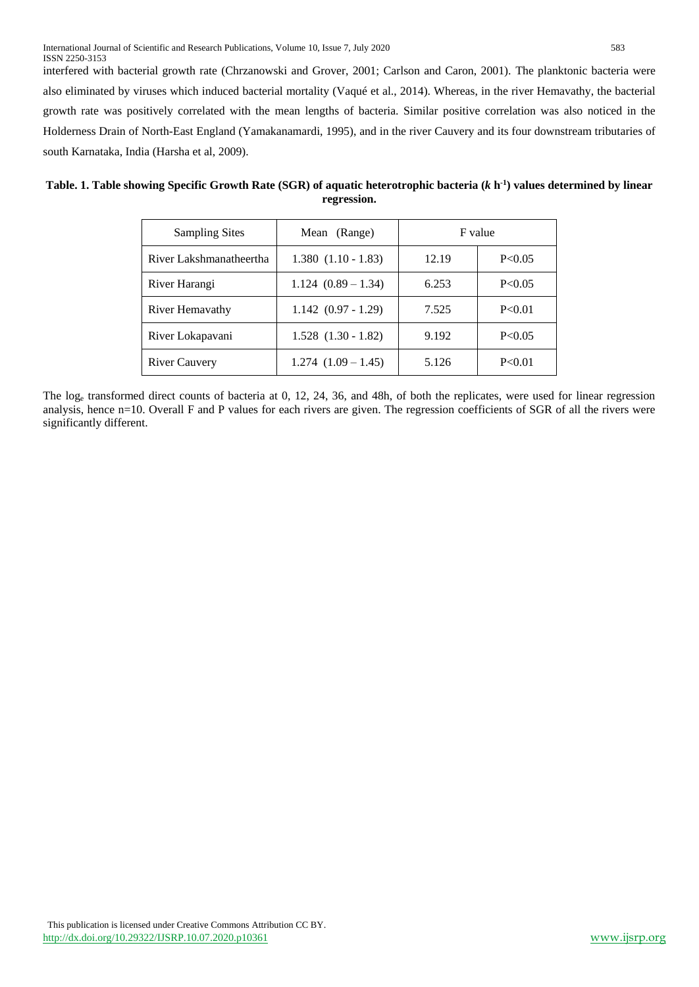interfered with bacterial growth rate (Chrzanowski and Grover, 2001; Carlson and Caron, 2001). The planktonic bacteria were also eliminated by viruses which induced bacterial mortality [\(Vaqué et al., 2014\)](https://www.frontiersin.org/articles/10.3389/fmicb.2018.03244/full#B88). Whereas, in the river Hemavathy, the bacterial growth rate was positively correlated with the mean lengths of bacteria. Similar positive correlation was also noticed in the Holderness Drain of North-East England (Yamakanamardi, 1995), and in the river Cauvery and its four downstream tributaries of south Karnataka, India (Harsha et al, 2009).

| Table. 1. Table showing Specific Growth Rate (SGR) of aquatic heterotrophic bacteria $(k h-1)$ values determined by linear |
|----------------------------------------------------------------------------------------------------------------------------|
| regression.                                                                                                                |

| <b>Sampling Sites</b>   | Mean (Range)            | F value |          |  |  |
|-------------------------|-------------------------|---------|----------|--|--|
| River Lakshmanatheertha | $1.380(1.10 - 1.83)$    | 12.19   | P < 0.05 |  |  |
| River Harangi           | $1.124(0.89-1.34)$      | 6.253   | P < 0.05 |  |  |
| River Hemavathy         | $1.142(0.97 - 1.29)$    | 7.525   | P < 0.01 |  |  |
| River Lokapavani        | $1.528$ $(1.30 - 1.82)$ | 9.192   | P < 0.05 |  |  |
| <b>River Cauvery</b>    | $1.274$ $(1.09 - 1.45)$ | 5.126   | P < 0.01 |  |  |

The log<sup>e</sup> transformed direct counts of bacteria at 0, 12, 24, 36, and 48h, of both the replicates, were used for linear regression analysis, hence n=10. Overall F and P values for each rivers are given. The regression coefficients of SGR of all the rivers were significantly different.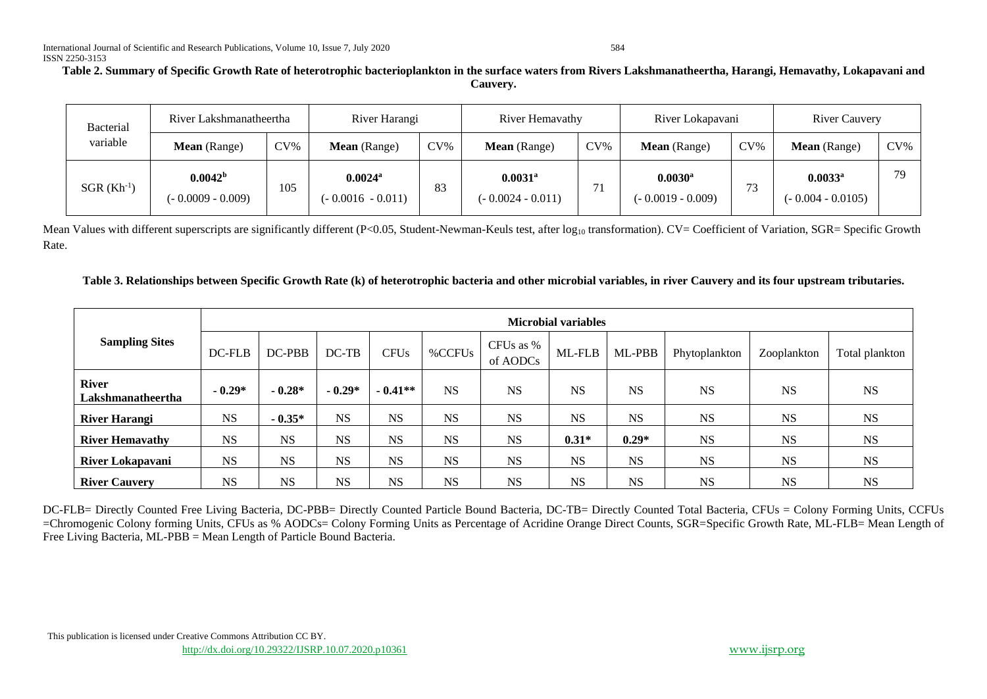# **Table 2. Summary of Specific Growth Rate of heterotrophic bacterioplankton in the surface waters from Rivers Lakshmanatheertha, Harangi, Hemavathy, Lokapavani and Cauvery.**

| Bacterial<br>variable | River Lakshmanatheertha                   |        | River Harangi                                |        | River Hemavathy                              |        | River Lokapavani                             |        | <b>River Cauvery</b>                         |        |
|-----------------------|-------------------------------------------|--------|----------------------------------------------|--------|----------------------------------------------|--------|----------------------------------------------|--------|----------------------------------------------|--------|
|                       | <b>Mean</b> (Range)                       | $CV\%$ | Mean (Range)                                 | $CV\%$ | Mean (Range)                                 | $CV\%$ | <b>Mean</b> (Range)                          | $CV\%$ | <b>Mean</b> (Range)                          | $CV\%$ |
| $SGR (Kh^{-1})$       | 0.0042 <sup>b</sup><br>(- 0.0009 - 0.009) | 105    | $0.0024$ <sup>a</sup><br>$(-0.0016 - 0.011)$ | 83     | $0.0031$ <sup>a</sup><br>$(-0.0024 - 0.011)$ |        | $0.0030$ <sup>a</sup><br>$(-0.0019 - 0.009)$ | 73     | $0.0033$ <sup>a</sup><br>$(-0.004 - 0.0105)$ | 79     |

Mean Values with different superscripts are significantly different (P<0.05, Student-Newman-Keuls test, after log<sub>10</sub> transformation). CV= Coefficient of Variation, SGR= Specific Growth Rate.

## **Table 3. Relationships between Specific Growth Rate (k) of heterotrophic bacteria and other microbial variables, in river Cauvery and its four upstream tributaries.**

|                                   | <b>Microbial variables</b> |           |           |             |           |                       |           |           |               |             |                |
|-----------------------------------|----------------------------|-----------|-----------|-------------|-----------|-----------------------|-----------|-----------|---------------|-------------|----------------|
| <b>Sampling Sites</b>             | $DC$ - $FLB$               | DC-PBB    | $DC-TB$   | <b>CFUs</b> | %CCFUs    | CFUs as %<br>of AODCs | ML-FLB    | ML-PBB    | Phytoplankton | Zooplankton | Total plankton |
| <b>River</b><br>Lakshmanatheertha | $-0.29*$                   | $-0.28*$  | $-0.29*$  | $-0.41**$   | <b>NS</b> | <b>NS</b>             | <b>NS</b> | <b>NS</b> | <b>NS</b>     | <b>NS</b>   | <b>NS</b>      |
| <b>River Harangi</b>              | <b>NS</b>                  | $-0.35*$  | <b>NS</b> | <b>NS</b>   | <b>NS</b> | <b>NS</b>             | <b>NS</b> | <b>NS</b> | <b>NS</b>     | <b>NS</b>   | <b>NS</b>      |
| <b>River Hemavathy</b>            | <b>NS</b>                  | <b>NS</b> | <b>NS</b> | <b>NS</b>   | <b>NS</b> | <b>NS</b>             | $0.31*$   | $0.29*$   | <b>NS</b>     | <b>NS</b>   | <b>NS</b>      |
| River Lokapavani                  | <b>NS</b>                  | <b>NS</b> | <b>NS</b> | <b>NS</b>   | <b>NS</b> | <b>NS</b>             | <b>NS</b> | <b>NS</b> | <b>NS</b>     | <b>NS</b>   | <b>NS</b>      |
| <b>River Cauvery</b>              | <b>NS</b>                  | <b>NS</b> | <b>NS</b> | <b>NS</b>   | <b>NS</b> | <b>NS</b>             | <b>NS</b> | <b>NS</b> | <b>NS</b>     | <b>NS</b>   | <b>NS</b>      |

DC-FLB= Directly Counted Free Living Bacteria, DC-PBB= Directly Counted Particle Bound Bacteria, DC-TB= Directly Counted Total Bacteria, CFUs = Colony Forming Units, CCFUs =Chromogenic Colony forming Units, CFUs as % AODCs= Colony Forming Units as Percentage of Acridine Orange Direct Counts, SGR=Specific Growth Rate, ML-FLB= Mean Length of Free Living Bacteria, ML-PBB = Mean Length of Particle Bound Bacteria.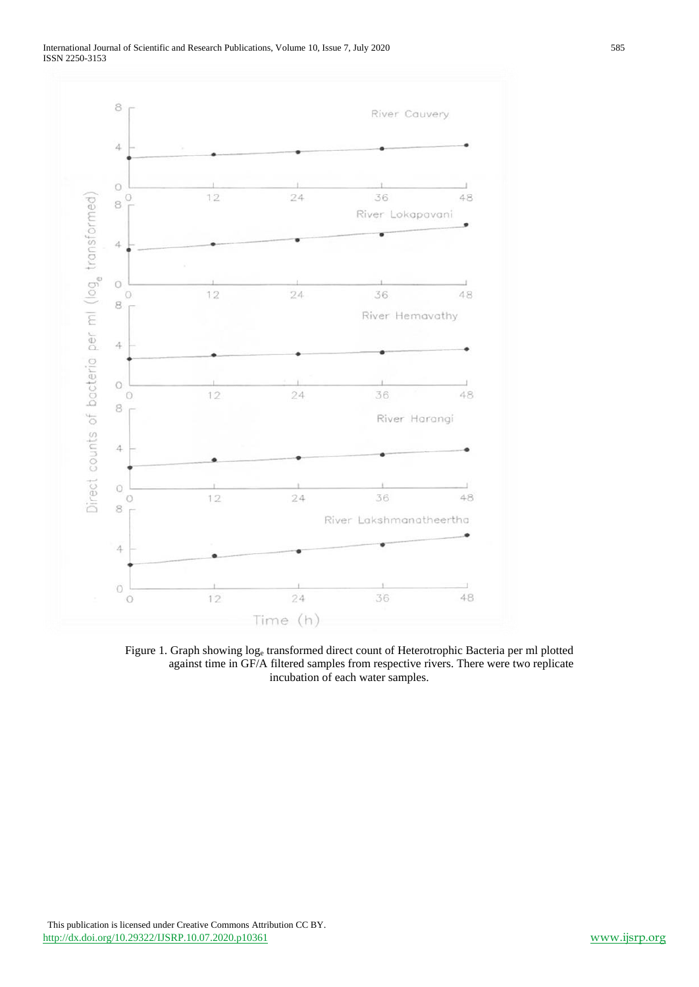

Figure 1. Graph showing log<sup>e</sup> transformed direct count of Heterotrophic Bacteria per ml plotted against time in GF/A filtered samples from respective rivers. There were two replicate incubation of each water samples.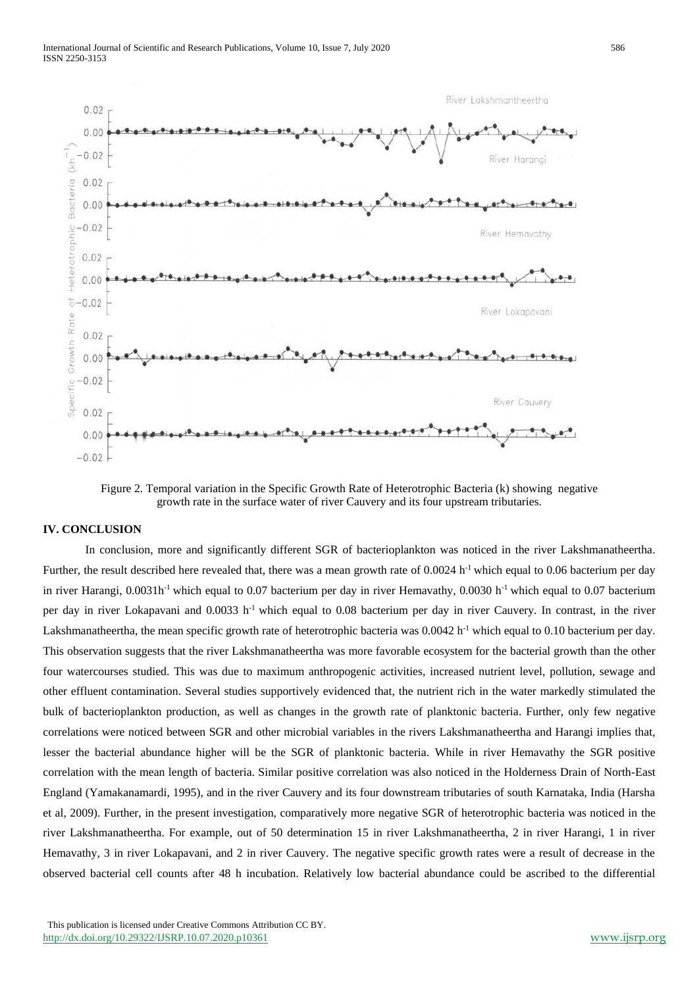

Figure 2. Temporal variation in the Specific Growth Rate of Heterotrophic Bacteria (k) showing negative growth rate in the surface water of river Cauvery and its four upstream tributaries.

#### **IV. CONCLUSION**

In conclusion, more and significantly different SGR of bacterioplankton was noticed in the river Lakshmanatheertha. Further, the result described here revealed that, there was a mean growth rate of 0.0024 h<sup>-1</sup> which equal to 0.06 bacterium per day in river Harangi,  $0.0031h^{-1}$  which equal to 0.07 bacterium per day in river Hemavathy, 0.0030 h<sup>-1</sup> which equal to 0.07 bacterium per day in river Lokapavani and 0.0033 h-1 which equal to 0.08 bacterium per day in river Cauvery. In contrast, in the river Lakshmanatheertha, the mean specific growth rate of heterotrophic bacteria was  $0.0042$  h<sup>-1</sup> which equal to 0.10 bacterium per day. This observation suggests that the river Lakshmanatheertha was more favorable ecosystem for the bacterial growth than the other four watercourses studied. This was due to maximum anthropogenic activities, increased nutrient level, pollution, sewage and other effluent contamination. Several studies supportively evidenced that, the nutrient rich in the water markedly stimulated the bulk of bacterioplankton production, as well as changes in the growth rate of planktonic bacteria. Further, only few negative correlations were noticed between SGR and other microbial variables in the rivers Lakshmanatheertha and Harangi implies that, lesser the bacterial abundance higher will be the SGR of planktonic bacteria. While in river Hemavathy the SGR positive correlation with the mean length of bacteria. Similar positive correlation was also noticed in the Holderness Drain of North-East England (Yamakanamardi, 1995), and in the river Cauvery and its four downstream tributaries of south Karnataka, India (Harsha et al, 2009). Further, in the present investigation, comparatively more negative SGR of heterotrophic bacteria was noticed in the river Lakshmanatheertha. For example, out of 50 determination 15 in river Lakshmanatheertha, 2 in river Harangi, 1 in river Hemavathy, 3 in river Lokapavani, and 2 in river Cauvery. The negative specific growth rates were a result of decrease in the observed bacterial cell counts after 48 h incubation. Relatively low bacterial abundance could be ascribed to the differential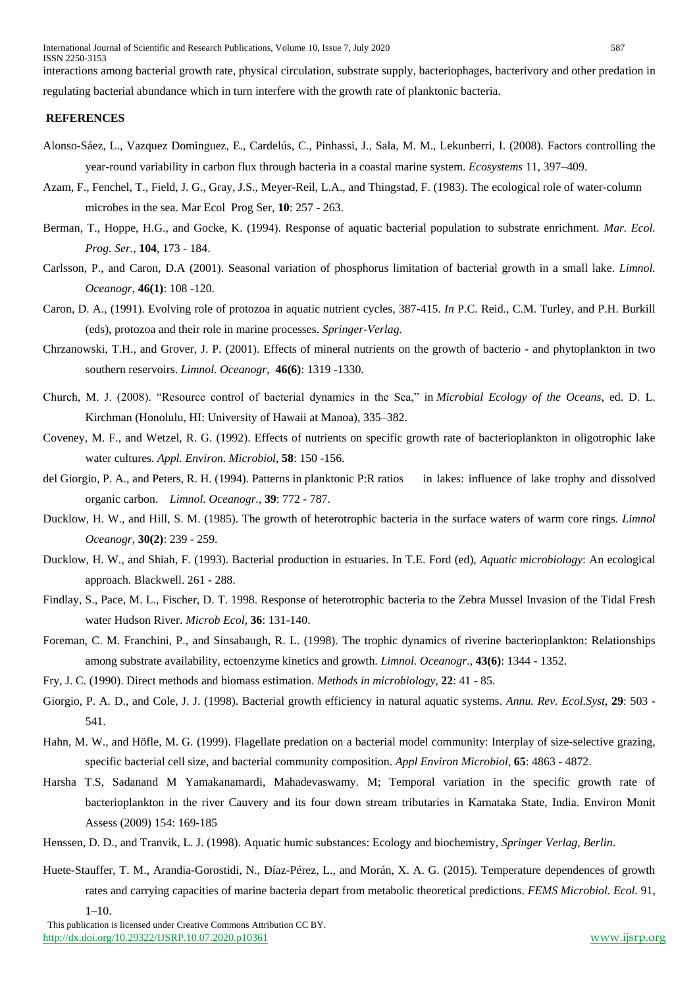interactions among bacterial growth rate, physical circulation, substrate supply, bacteriophages, bacterivory and other predation in regulating bacterial abundance which in turn interfere with the growth rate of planktonic bacteria.

#### **REFERENCES**

- Alonso-Sáez, L., Vazquez Dominguez, E., Cardelús, C., Pinhassi, J., Sala, M. M., Lekunberri, I. (2008). Factors controlling the year-round variability in carbon flux through bacteria in a coastal marine system. *Ecosystems* 11, 397–409.
- Azam, F., Fenchel, T., Field, J. G., Gray, J.S., Meyer-Reil, L.A., and Thingstad, F. (1983). The ecological role of water-column microbes in the sea. Mar Ecol Prog Ser, **10**: 257 - 263.
- Berman, T., Hoppe, H.G., and Gocke, K. (1994). Response of aquatic bacterial population to substrate enrichment. *Mar. Ecol. Prog. Ser.,* **104**, 173 - 184.
- Carlsson, P., and Caron, D.A (2001). Seasonal variation of phosphorus limitation of bacterial growth in a small lake. *Limnol. Oceanogr*, **46(1)**: 108 -120.
- Caron, D. A., (1991). Evolving role of protozoa in aquatic nutrient cycles, 387-415. *In* P.C. Reid., C.M. Turley, and P.H. Burkill (eds), protozoa and their role in marine processes. *Springer-Verlag.*
- Chrzanowski, T.H., and Grover, J. P. (2001). Effects of mineral nutrients on the growth of bacterio and phytoplankton in two southern reservoirs. *Limnol. Oceanogr*, **46(6)**: 1319 -1330.
- Church, M. J. (2008). "Resource control of bacterial dynamics in the Sea," in *Microbial Ecology of the Oceans*, ed. D. L. Kirchman (Honolulu, HI: University of Hawaii at Manoa), 335–382.
- Coveney, M. F., and Wetzel, R. G. (1992). Effects of nutrients on specific growth rate of bacterioplankton in oligotrophic lake water cultures. *Appl. Environ. Microbiol*, **58**: 150 -156.
- del Giorgio, P. A., and Peters, R. H. (1994). Patterns in planktonic P:R ratios in lakes: influence of lake trophy and dissolved organic carbon. *Limnol. Oceanogr.,* **39**: 772 - 787.
- Ducklow, H. W., and Hill, S. M. (1985). The growth of heterotrophic bacteria in the surface waters of warm core rings. *Limnol Oceanogr*, **30(2)**: 239 - 259.
- Ducklow, H. W., and Shiah, F. (1993). Bacterial production in estuaries. In T.E. Ford (ed), *Aquatic microbiology*: An ecological approach. Blackwell. 261 - 288.
- Findlay, S., Pace, M. L., Fischer, D. T. 1998. Response of heterotrophic bacteria to the Zebra Mussel Invasion of the Tidal Fresh water Hudson River. *Microb Ecol,* **36**: 131-140.
- Foreman, C. M. Franchini, P., and Sinsabaugh, R. L. (1998). The trophic dynamics of riverine bacterioplankton: Relationships among substrate availability, ectoenzyme kinetics and growth. *Limnol. Oceanogr*., **43(6)**: 1344 - 1352.
- Fry, J. C. (1990). Direct methods and biomass estimation. *Methods in microbiology,* **22**: 41 85.
- Giorgio, P. A. D., and Cole, J. J. (1998). Bacterial growth efficiency in natural aquatic systems. *Annu. Rev. Ecol.Syst*, **29**: 503 541.
- Hahn, M. W., and Höfle, M. G. (1999). Flagellate predation on a bacterial model community: Interplay of size-selective grazing, specific bacterial cell size, and bacterial community composition. *Appl Environ Microbiol,* **65**: 4863 - 4872.
- Harsha T.S, Sadanand M Yamakanamardi, Mahadevaswamy. M; Temporal variation in the specific growth rate of bacterioplankton in the river Cauvery and its four down stream tributaries in Karnataka State, India. Environ Monit Assess (2009) 154: 169-185
- Henssen, D. D., and Tranvik, L. J. (1998). Aquatic humic substances: Ecology and biochemistry, *Springer Verlag, Berlin*.
- Huete-Stauffer, T. M., Arandia-Gorostidi, N., Díaz-Pérez, L., and Morán, X. A. G. (2015). Temperature dependences of growth rates and carrying capacities of marine bacteria depart from metabolic theoretical predictions. *FEMS Microbiol. Ecol.* 91,

 $1 - 10$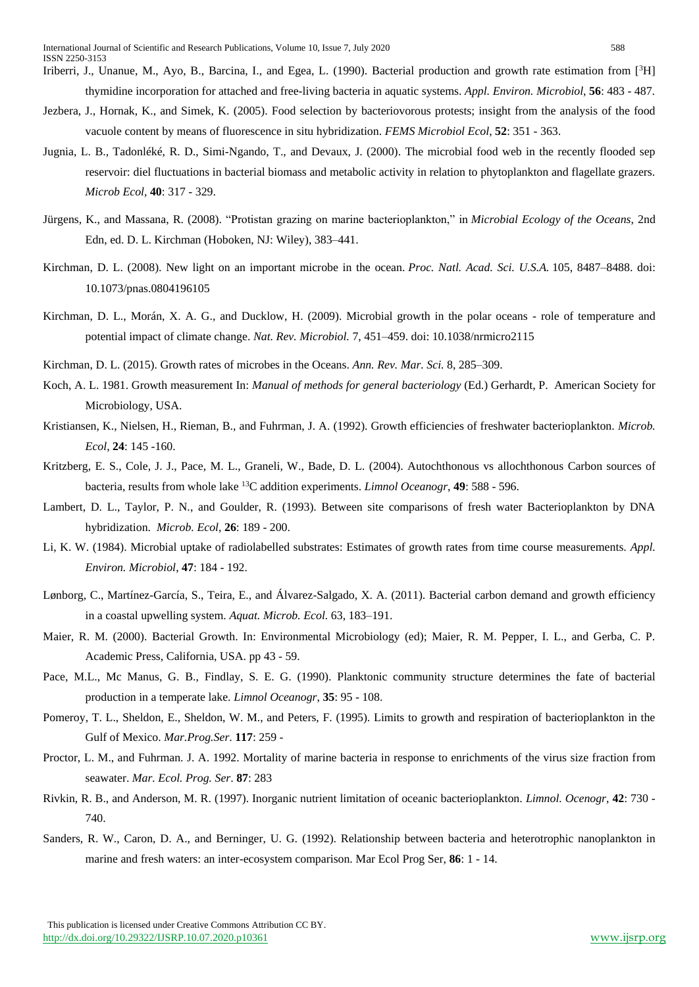- Jezbera, J., Hornak, K., and Simek, K. (2005). Food selection by bacteriovorous protests; insight from the analysis of the food vacuole content by means of fluorescence in situ hybridization. *FEMS Microbiol Ecol*, **52**: 351 - 363.
- Jugnia, L. B., Tadonléké, R. D., Simi-Ngando, T., and Devaux, J. (2000). The microbial food web in the recently flooded sep reservoir: diel fluctuations in bacterial biomass and metabolic activity in relation to phytoplankton and flagellate grazers. *Microb Ecol,* **40**: 317 - 329.
- Jürgens, K., and Massana, R. (2008). "Protistan grazing on marine bacterioplankton," in *Microbial Ecology of the Oceans*, 2nd Edn, ed. D. L. Kirchman (Hoboken, NJ: Wiley), 383–441.
- Kirchman, D. L. (2008). New light on an important microbe in the ocean. *Proc. Natl. Acad. Sci. U.S.A.* 105, 8487–8488. doi: 10.1073/pnas.0804196105
- Kirchman, D. L., Morán, X. A. G., and Ducklow, H. (2009). Microbial growth in the polar oceans role of temperature and potential impact of climate change. *Nat. Rev. Microbiol.* 7, 451–459. doi: 10.1038/nrmicro2115
- Kirchman, D. L. (2015). Growth rates of microbes in the Oceans. *Ann. Rev. Mar. Sci.* 8, 285–309.
- Koch, A. L. 1981. Growth measurement In: *Manual of methods for general bacteriology* (Ed.) Gerhardt, P. American Society for Microbiology, USA.
- Kristiansen, K., Nielsen, H., Rieman, B., and Fuhrman, J. A. (1992). Growth efficiencies of freshwater bacterioplankton. *Microb. Ecol*, **24**: 145 -160.
- Kritzberg, E. S., Cole, J. J., Pace, M. L., Graneli, W., Bade, D. L. (2004). Autochthonous vs allochthonous Carbon sources of bacteria, results from whole lake <sup>13</sup>C addition experiments. *Limnol Oceanogr*, **49**: 588 - 596.
- Lambert, D. L., Taylor, P. N., and Goulder, R. (1993). Between site comparisons of fresh water Bacterioplankton by DNA hybridization. *Microb. Ecol*, **26**: 189 - 200.
- Li, K. W. (1984). Microbial uptake of radiolabelled substrates: Estimates of growth rates from time course measurements. *Appl. Environ. Microbiol*, **47**: 184 - 192.
- Lønborg, C., Martínez-García, S., Teira, E., and Álvarez-Salgado, X. A. (2011). Bacterial carbon demand and growth efficiency in a coastal upwelling system. *Aquat. Microb. Ecol.* 63, 183–191.
- Maier, R. M. (2000). Bacterial Growth. In: Environmental Microbiology (ed); Maier, R. M. Pepper, I. L., and Gerba, C. P. Academic Press, California, USA. pp 43 - 59.
- Pace, M.L., Mc Manus, G. B., Findlay, S. E. G. (1990). Planktonic community structure determines the fate of bacterial production in a temperate lake. *Limnol Oceanogr*, **35**: 95 - 108.
- Pomeroy, T. L., Sheldon, E., Sheldon, W. M., and Peters, F. (1995). Limits to growth and respiration of bacterioplankton in the Gulf of Mexico. *Mar.Prog.Ser*. **117**: 259 -
- Proctor, L. M., and Fuhrman. J. A. 1992. Mortality of marine bacteria in response to enrichments of the virus size fraction from seawater. *Mar. Ecol. Prog. Ser*. **87**: 283
- Rivkin, R. B., and Anderson, M. R. (1997). Inorganic nutrient limitation of oceanic bacterioplankton. *Limnol. Ocenogr*, **42**: 730 740.
- Sanders, R. W., Caron, D. A., and Berninger, U. G. (1992). Relationship between bacteria and heterotrophic nanoplankton in marine and fresh waters: an inter-ecosystem comparison. Mar Ecol Prog Ser, **86**: 1 - 14.